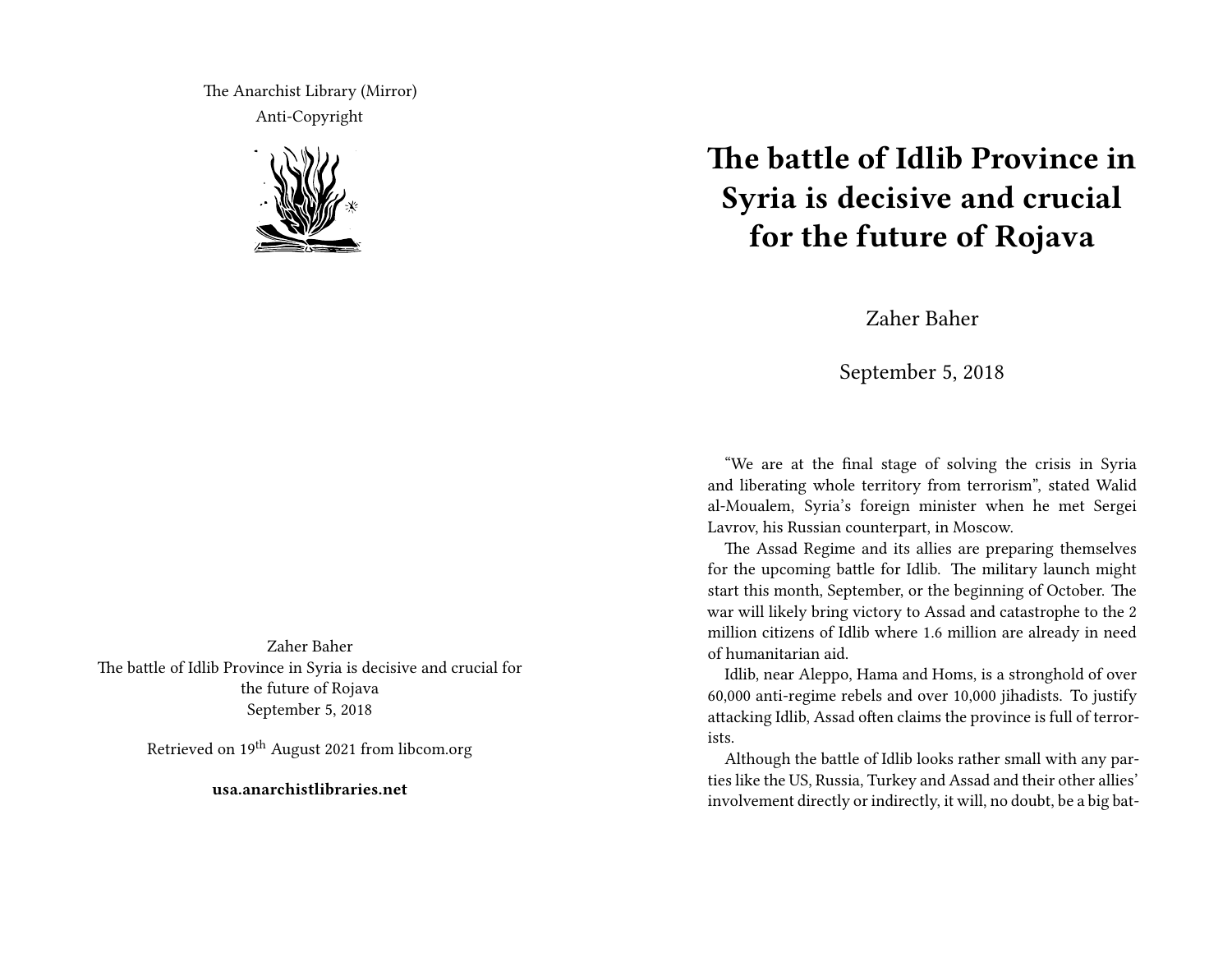The Anarchist Library (Mirror) Anti-Copyright



Zaher Baher The battle of Idlib Province in Syria is decisive and crucial for the future of Rojava September 5, 2018

Retrieved on 19<sup>th</sup> August 2021 from libcom.org

**usa.anarchistlibraries.net**

## **The battle of Idlib Province in Syria is decisive and crucial for the future of Rojava**

Zaher Baher

September 5, 2018

"We are at the final stage of solving the crisis in Syria and liberating whole territory from terrorism", stated Walid al-Moualem, Syria's foreign minister when he met Sergei Lavrov, his Russian counterpart, in Moscow.

The Assad Regime and its allies are preparing themselves for the upcoming battle for Idlib. The military launch might start this month, September, or the beginning of October. The war will likely bring victory to Assad and catastrophe to the 2 million citizens of Idlib where 1.6 million are already in need of humanitarian aid.

Idlib, near Aleppo, Hama and Homs, is a stronghold of over 60,000 anti-regime rebels and over 10,000 jihadists. To justify attacking Idlib, Assad often claims the province is full of terrorists.

Although the battle of Idlib looks rather small with any parties like the US, Russia, Turkey and Assad and their other allies' involvement directly or indirectly, it will, no doubt, be a big bat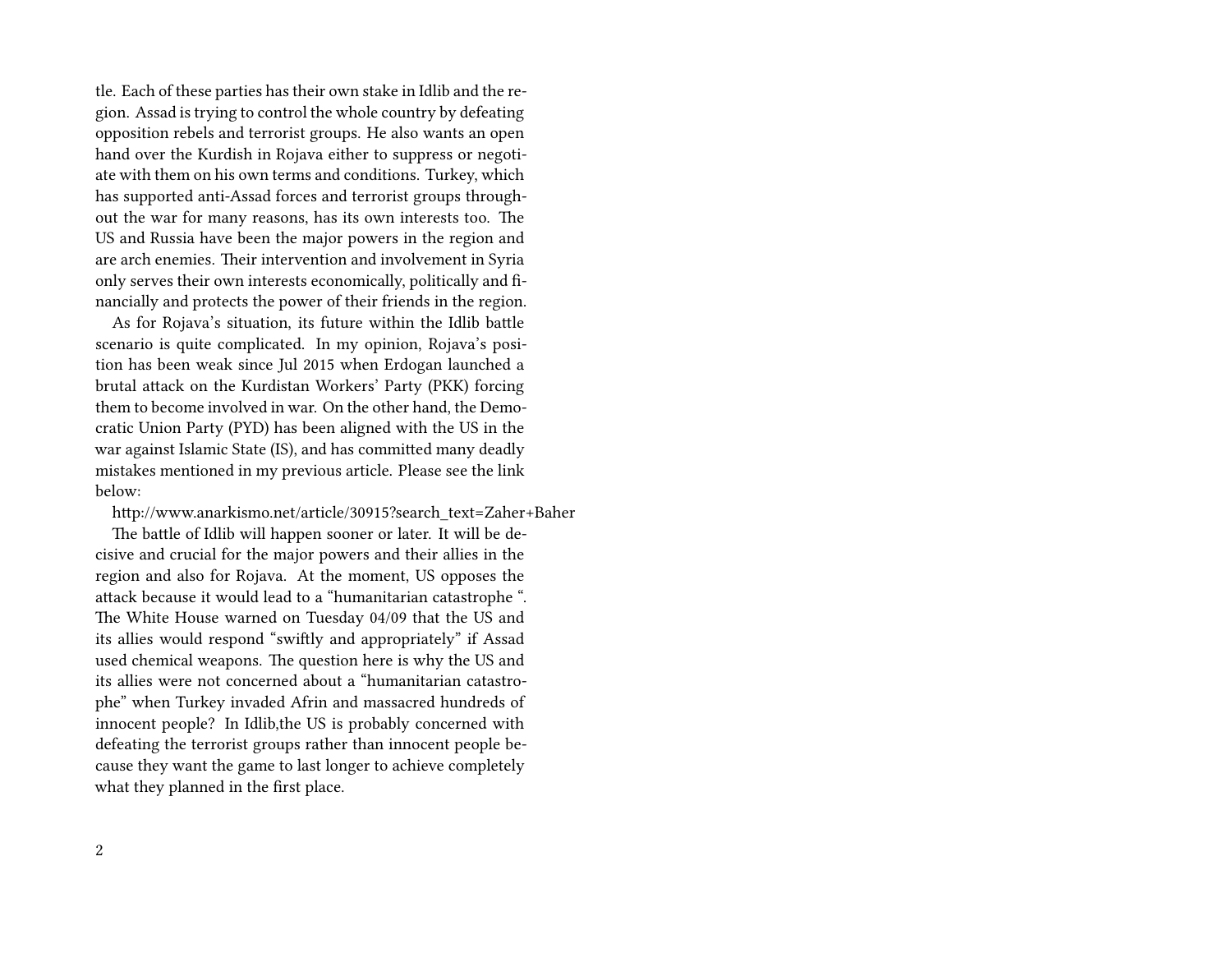tle. Each of these parties has their own stake in Idlib and the region. Assad is trying to control the whole country by defeating opposition rebels and terrorist groups. He also wants an open hand over the Kurdish in Rojava either to suppress or negotiate with them on his own terms and conditions. Turkey, which has supported anti-Assad forces and terrorist groups throughout the war for many reasons, has its own interests too. The US and Russia have been the major powers in the region and are arch enemies. Their intervention and involvement in Syria only serves their own interests economically, politically and financially and protects the power of their friends in the region.

As for Rojava's situation, its future within the Idlib battle scenario is quite complicated. In my opinion, Rojava's position has been weak since Jul 2015 when Erdogan launched a brutal attack on the Kurdistan Workers' Party (PKK) forcing them to become involved in war. On the other hand, the Democratic Union Party (PYD) has been aligned with the US in the war against Islamic State (IS), and has committed many deadly mistakes mentioned in my previous article. Please see the link below:

http://www.anarkismo.net/article/30915?search\_text=Zaher+Baher

The battle of Idlib will happen sooner or later. It will be decisive and crucial for the major powers and their allies in the region and also for Rojava. At the moment, US opposes the attack because it would lead to a "humanitarian catastrophe ". The White House warned on Tuesday 04/09 that the US and its allies would respond "swiftly and appropriately" if Assad used chemical weapons. The question here is why the US and its allies were not concerned about a "humanitarian catastrophe" when Turkey invaded Afrin and massacred hundreds of innocent people? In Idlib,the US is probably concerned with defeating the terrorist groups rather than innocent people because they want the game to last longer to achieve completely what they planned in the first place.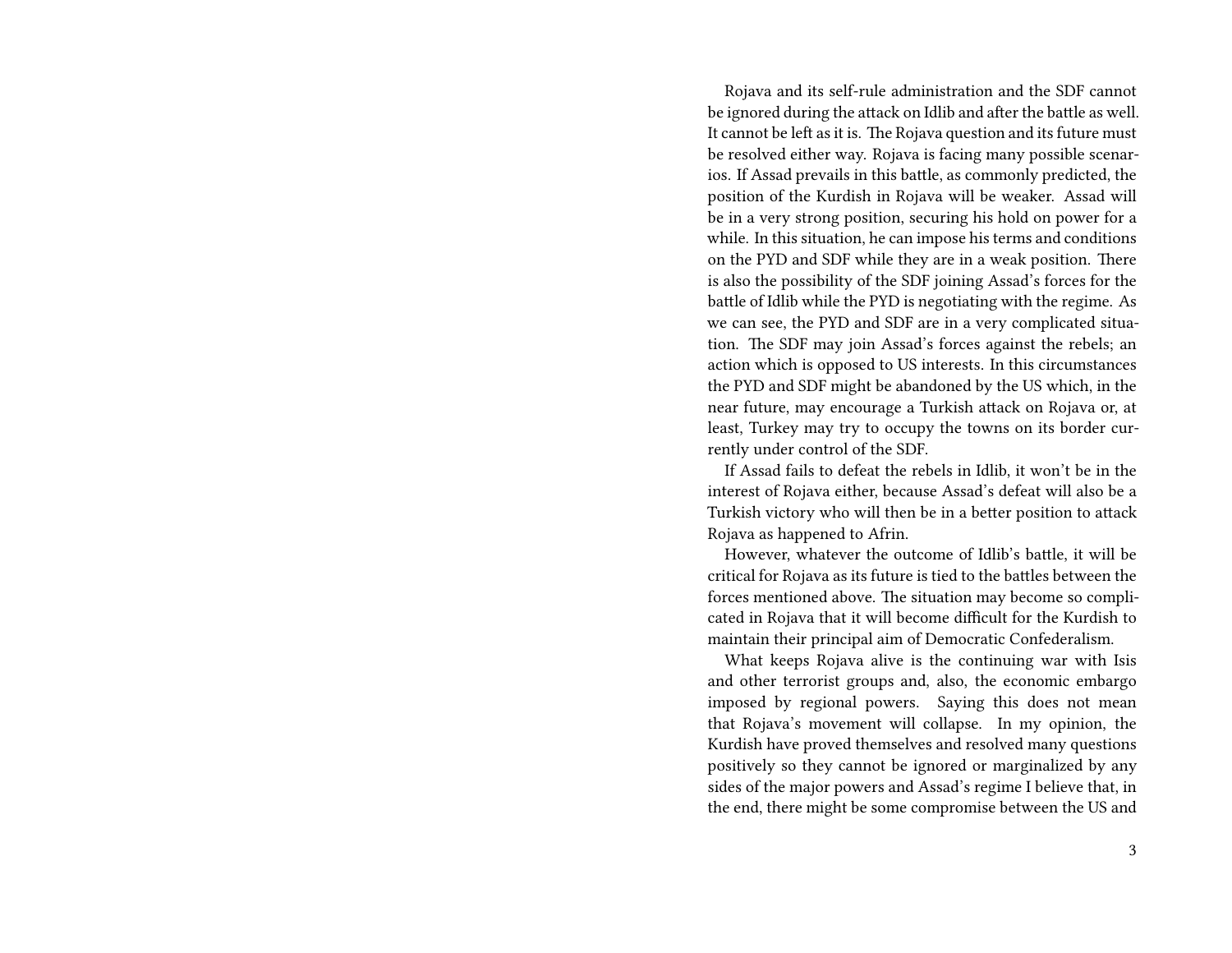Rojava and its self-rule administration and the SDF cannot be ignored during the attack on Idlib and after the battle as well. It cannot be left as it is. The Rojava question and its future must be resolved either way. Rojava is facing many possible scenarios. If Assad prevails in this battle, as commonly predicted, the position of the Kurdish in Rojava will be weaker. Assad will be in a very strong position, securing his hold on power for a while. In this situation, he can impose his terms and conditions on the PYD and SDF while they are in a weak position. There is also the possibility of the SDF joining Assad's forces for the battle of Idlib while the PYD is negotiating with the regime. As we can see, the PYD and SDF are in a very complicated situation. The SDF may join Assad's forces against the rebels; an action which is opposed to US interests. In this circumstances the PYD and SDF might be abandoned by the US which, in the near future, may encourage a Turkish attack on Rojava or, at least, Turkey may try to occupy the towns on its border currently under control of the SDF.

If Assad fails to defeat the rebels in Idlib, it won't be in the interest of Rojava either, because Assad's defeat will also be a Turkish victory who will then be in a better position to attack Rojava as happened to Afrin.

However, whatever the outcome of Idlib's battle, it will be critical for Rojava as its future is tied to the battles between the forces mentioned above. The situation may become so complicated in Rojava that it will become difficult for the Kurdish to maintain their principal aim of Democratic Confederalism.

What keeps Rojava alive is the continuing war with Isis and other terrorist groups and, also, the economic embargo imposed by regional powers. Saying this does not mean that Rojava's movement will collapse. In my opinion, the Kurdish have proved themselves and resolved many questions positively so they cannot be ignored or marginalized by any sides of the major powers and Assad's regime I believe that, in the end, there might be some compromise between the US and